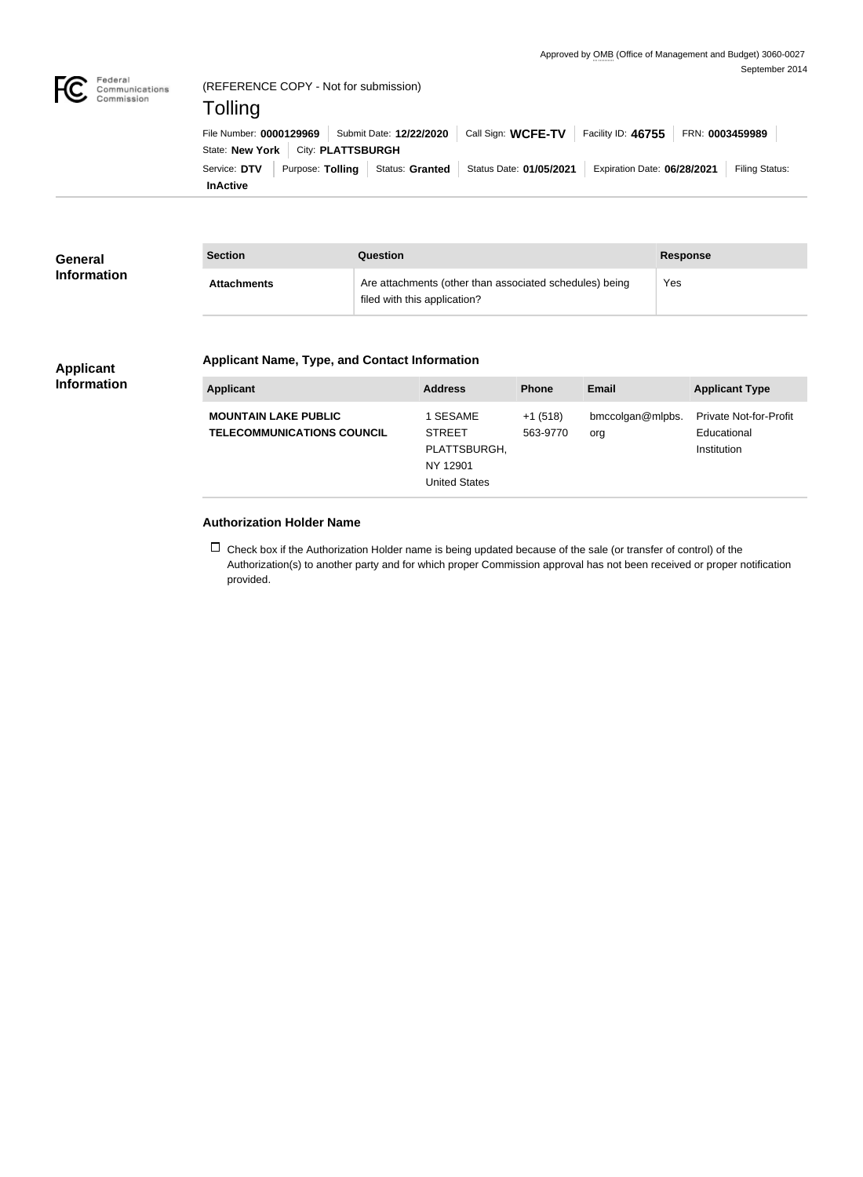

|                 | State: New York   City: PLATTSBURGH |  |                                                                                                                    |  |
|-----------------|-------------------------------------|--|--------------------------------------------------------------------------------------------------------------------|--|
|                 |                                     |  | Service: DTV Purpose: Tolling Status: Granted Status Date: 01/05/2021 Expiration Date: 06/28/2021   Filing Status: |  |
| <b>InActive</b> |                                     |  |                                                                                                                    |  |

| <b>General</b>     | Section            | Question                                                                                | <b>Response</b> |
|--------------------|--------------------|-----------------------------------------------------------------------------------------|-----------------|
| <b>Information</b> | <b>Attachments</b> | Are attachments (other than associated schedules) being<br>filed with this application? | Yes             |

## **Applicant Information**

## **Applicant Name, Type, and Contact Information**

| <b>Applicant</b>                                                 | <b>Address</b>                                                                | <b>Phone</b>          | Email                   | <b>Applicant Type</b>                                       |
|------------------------------------------------------------------|-------------------------------------------------------------------------------|-----------------------|-------------------------|-------------------------------------------------------------|
| <b>MOUNTAIN LAKE PUBLIC</b><br><b>TELECOMMUNICATIONS COUNCIL</b> | 1 SESAME<br><b>STREET</b><br>PLATTSBURGH,<br>NY 12901<br><b>United States</b> | $+1(518)$<br>563-9770 | bmccolgan@mlpbs.<br>org | <b>Private Not-for-Profit</b><br>Educational<br>Institution |

## **Authorization Holder Name**

 $\Box$  Check box if the Authorization Holder name is being updated because of the sale (or transfer of control) of the Authorization(s) to another party and for which proper Commission approval has not been received or proper notification provided.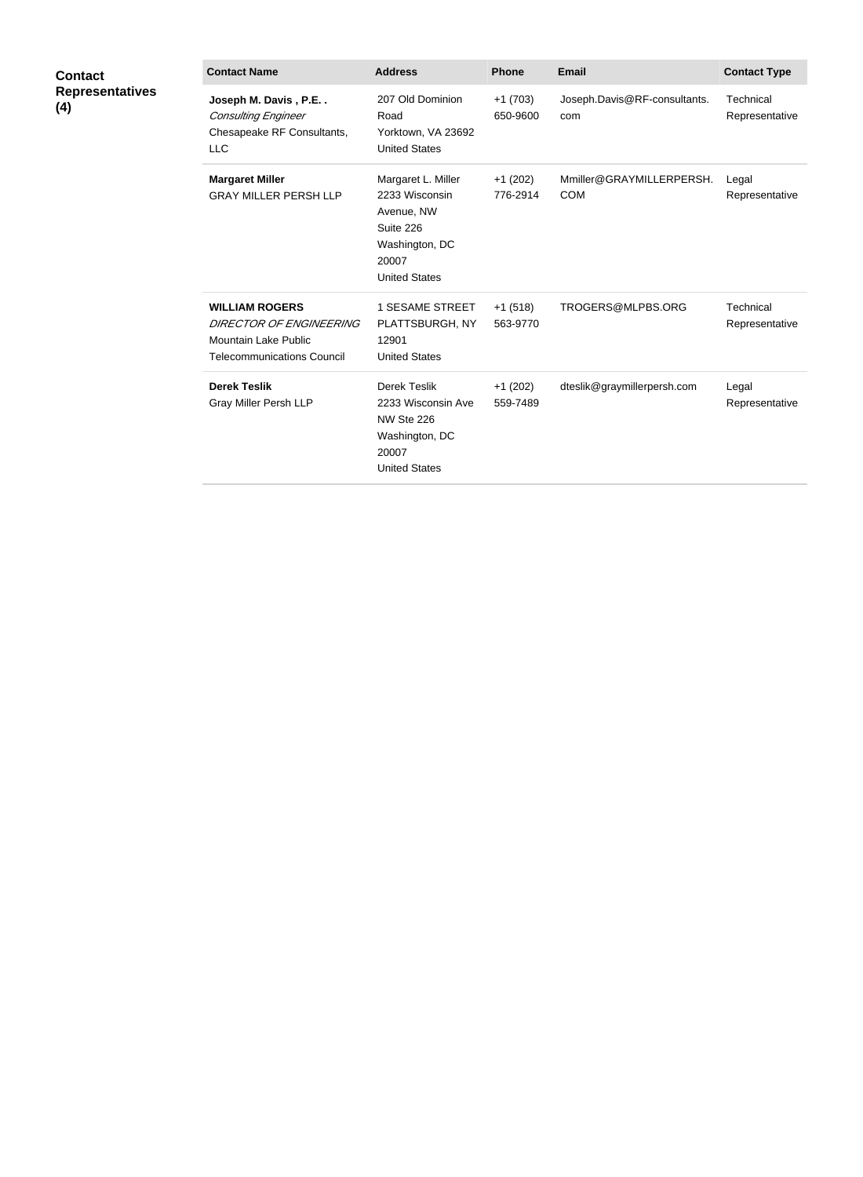| <b>Contact</b>                | <b>Contact Name</b>                                                                                                  | <b>Address</b>                                                                                                     | <b>Phone</b>          | Email                                  | <b>Contact Type</b>         |
|-------------------------------|----------------------------------------------------------------------------------------------------------------------|--------------------------------------------------------------------------------------------------------------------|-----------------------|----------------------------------------|-----------------------------|
| <b>Representatives</b><br>(4) | Joseph M. Davis, P.E<br><b>Consulting Engineer</b><br>Chesapeake RF Consultants,<br>LLC                              | 207 Old Dominion<br>Road<br>Yorktown, VA 23692<br><b>United States</b>                                             | $+1(703)$<br>650-9600 | Joseph.Davis@RF-consultants.<br>com    | Technical<br>Representative |
|                               | <b>Margaret Miller</b><br><b>GRAY MILLER PERSH LLP</b>                                                               | Margaret L. Miller<br>2233 Wisconsin<br>Avenue, NW<br>Suite 226<br>Washington, DC<br>20007<br><b>United States</b> | $+1(202)$<br>776-2914 | Mmiller@GRAYMILLERPERSH.<br><b>COM</b> | Legal<br>Representative     |
|                               | <b>WILLIAM ROGERS</b><br><b>DIRECTOR OF ENGINEERING</b><br>Mountain Lake Public<br><b>Telecommunications Council</b> | <b>1 SESAME STREET</b><br>PLATTSBURGH, NY<br>12901<br><b>United States</b>                                         | $+1(518)$<br>563-9770 | TROGERS@MLPBS.ORG                      | Technical<br>Representative |
|                               | <b>Derek Teslik</b><br>Gray Miller Persh LLP                                                                         | Derek Teslik<br>2233 Wisconsin Ave<br>NW Ste 226<br>Washington, DC<br>20007<br><b>United States</b>                | $+1(202)$<br>559-7489 | dteslik@graymillerpersh.com            | Legal<br>Representative     |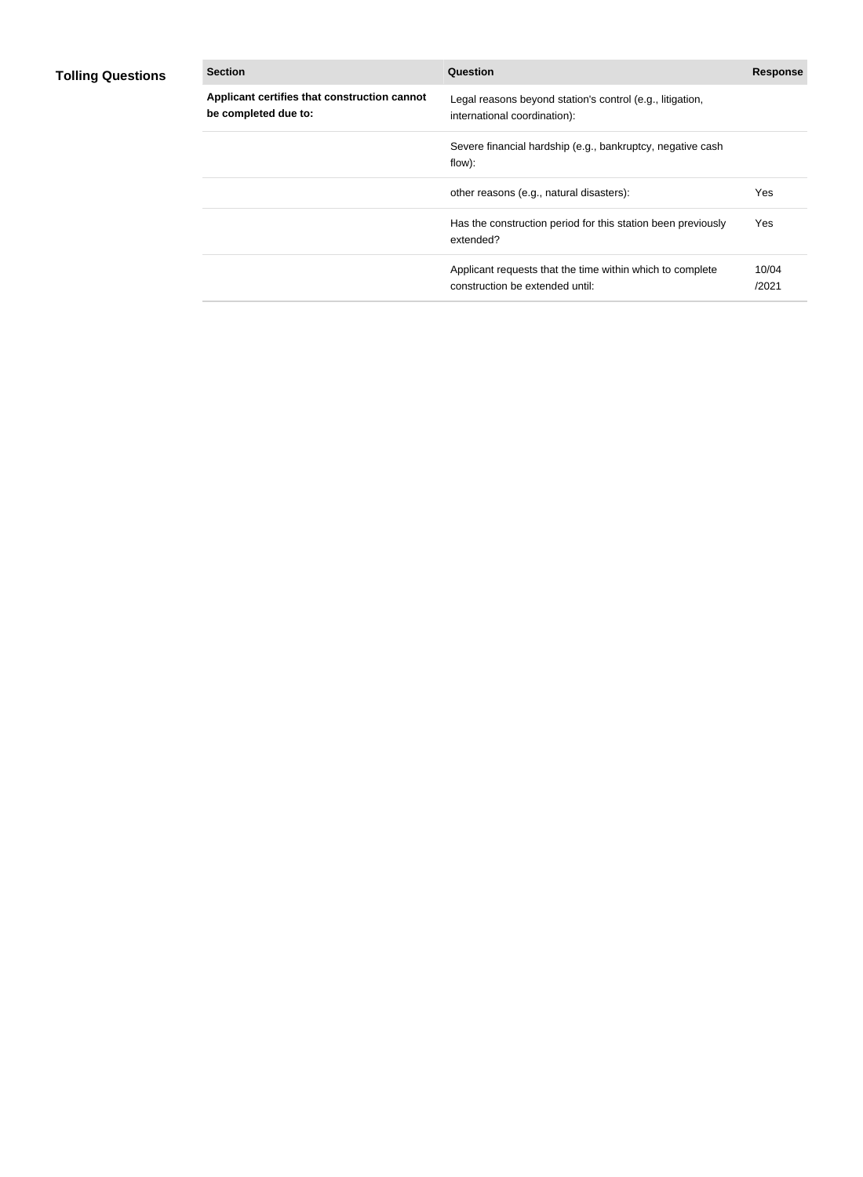## **Tolling Questions**

| <b>Section</b>                                                       | Question                                                                                     | <b>Response</b> |
|----------------------------------------------------------------------|----------------------------------------------------------------------------------------------|-----------------|
| Applicant certifies that construction cannot<br>be completed due to: | Legal reasons beyond station's control (e.g., litigation,<br>international coordination):    |                 |
|                                                                      | Severe financial hardship (e.g., bankruptcy, negative cash<br>flow):                         |                 |
|                                                                      | other reasons (e.g., natural disasters):                                                     | Yes             |
|                                                                      | Has the construction period for this station been previously<br>extended?                    | Yes             |
|                                                                      | Applicant requests that the time within which to complete<br>construction be extended until: | 10/04<br>/2021  |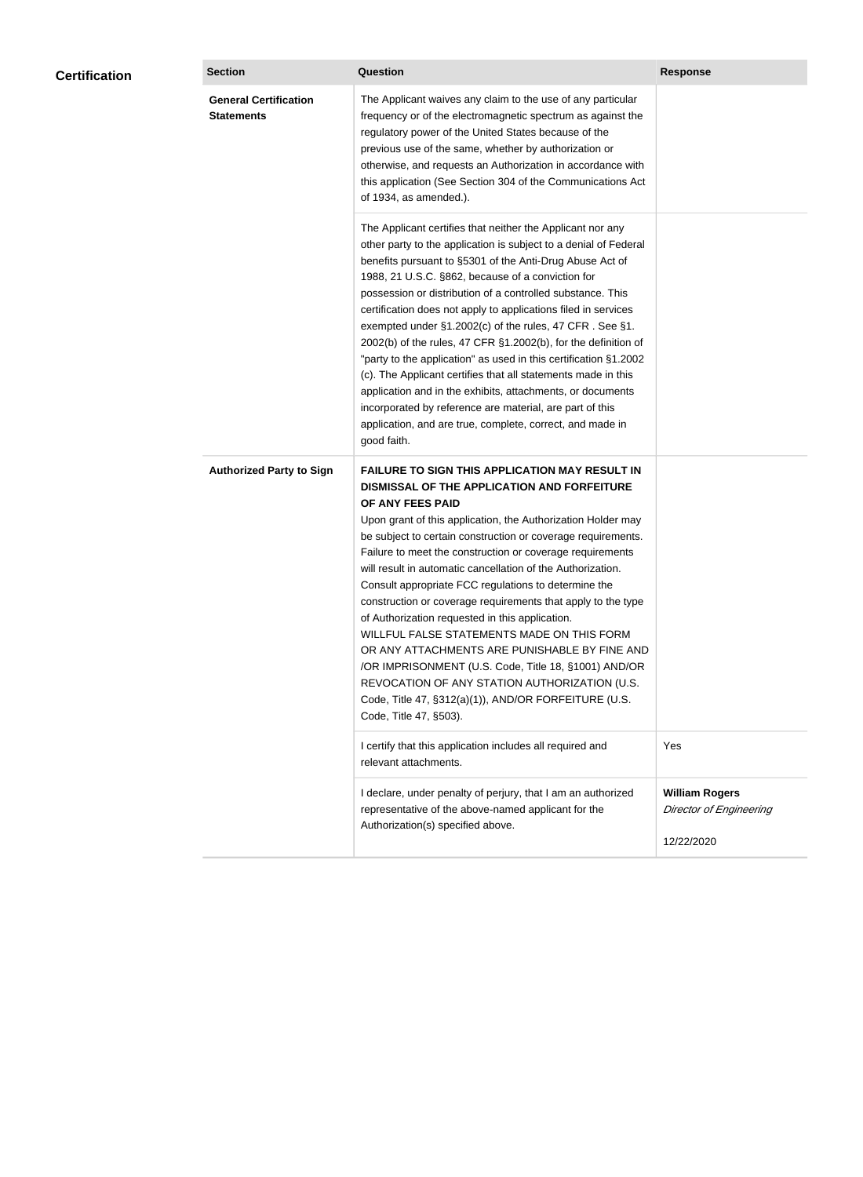| <b>Certification</b> | <b>Section</b>                                    | Question                                                                                                                                                                                                                                                                                                                                                                                                                                                                                                                                                                                                                                                                                                                                                                                                                                                  | <b>Response</b>                                                       |
|----------------------|---------------------------------------------------|-----------------------------------------------------------------------------------------------------------------------------------------------------------------------------------------------------------------------------------------------------------------------------------------------------------------------------------------------------------------------------------------------------------------------------------------------------------------------------------------------------------------------------------------------------------------------------------------------------------------------------------------------------------------------------------------------------------------------------------------------------------------------------------------------------------------------------------------------------------|-----------------------------------------------------------------------|
|                      | <b>General Certification</b><br><b>Statements</b> | The Applicant waives any claim to the use of any particular<br>frequency or of the electromagnetic spectrum as against the<br>regulatory power of the United States because of the<br>previous use of the same, whether by authorization or<br>otherwise, and requests an Authorization in accordance with<br>this application (See Section 304 of the Communications Act<br>of 1934, as amended.).                                                                                                                                                                                                                                                                                                                                                                                                                                                       |                                                                       |
|                      |                                                   | The Applicant certifies that neither the Applicant nor any<br>other party to the application is subject to a denial of Federal<br>benefits pursuant to §5301 of the Anti-Drug Abuse Act of<br>1988, 21 U.S.C. §862, because of a conviction for<br>possession or distribution of a controlled substance. This<br>certification does not apply to applications filed in services<br>exempted under §1.2002(c) of the rules, 47 CFR. See §1.<br>2002(b) of the rules, 47 CFR §1.2002(b), for the definition of<br>"party to the application" as used in this certification §1.2002<br>(c). The Applicant certifies that all statements made in this<br>application and in the exhibits, attachments, or documents<br>incorporated by reference are material, are part of this<br>application, and are true, complete, correct, and made in<br>good faith.   |                                                                       |
|                      | <b>Authorized Party to Sign</b>                   | <b>FAILURE TO SIGN THIS APPLICATION MAY RESULT IN</b><br>DISMISSAL OF THE APPLICATION AND FORFEITURE<br>OF ANY FEES PAID<br>Upon grant of this application, the Authorization Holder may<br>be subject to certain construction or coverage requirements.<br>Failure to meet the construction or coverage requirements<br>will result in automatic cancellation of the Authorization.<br>Consult appropriate FCC regulations to determine the<br>construction or coverage requirements that apply to the type<br>of Authorization requested in this application.<br>WILLFUL FALSE STATEMENTS MADE ON THIS FORM<br>OR ANY ATTACHMENTS ARE PUNISHABLE BY FINE AND<br>/OR IMPRISONMENT (U.S. Code, Title 18, §1001) AND/OR<br>REVOCATION OF ANY STATION AUTHORIZATION (U.S.<br>Code, Title 47, §312(a)(1)), AND/OR FORFEITURE (U.S.<br>Code, Title 47, §503). |                                                                       |
|                      |                                                   | I certify that this application includes all required and<br>relevant attachments.                                                                                                                                                                                                                                                                                                                                                                                                                                                                                                                                                                                                                                                                                                                                                                        | Yes                                                                   |
|                      |                                                   | I declare, under penalty of perjury, that I am an authorized<br>representative of the above-named applicant for the<br>Authorization(s) specified above.                                                                                                                                                                                                                                                                                                                                                                                                                                                                                                                                                                                                                                                                                                  | <b>William Rogers</b><br><b>Director of Engineering</b><br>12/22/2020 |